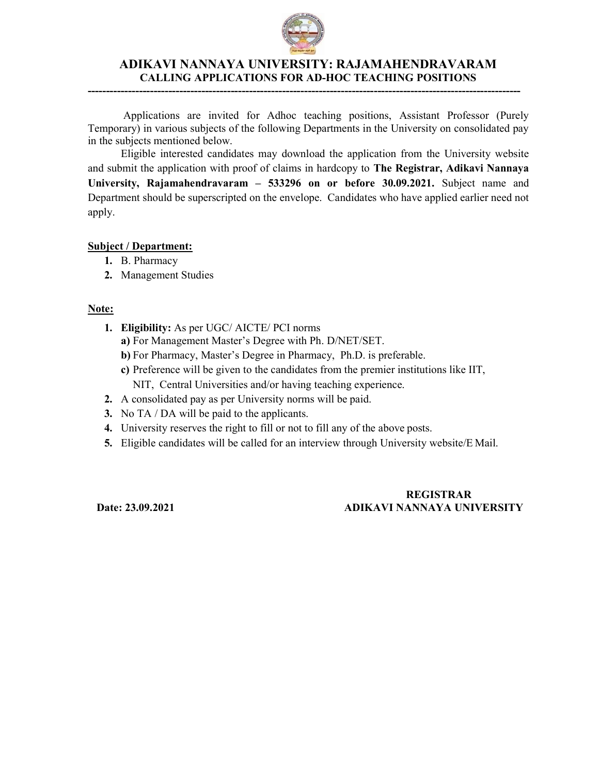

## ADIKAVI NANNAYA UNIVERSITY: RAJAMAHENDRAVARAM CALLING APPLICATIONS FOR AD-HOC TEACHING POSITIONS

----------------------------------------------------------------------------------------------------------------------

Applications are invited for Adhoc teaching positions, Assistant Professor (Purely Temporary) in various subjects of the following Departments in the University on consolidated pay in the subjects mentioned below.

Eligible interested candidates may download the application from the University website and submit the application with proof of claims in hardcopy to **The Registrar, Adikavi Nannaya** University, Rajamahendravaram – 533296 on or before 30.09.2021. Subject name and Department should be superscripted on the envelope. Candidates who have applied earlier need not apply.

### Subject / Department:

- 1. B. Pharmacy
- 2. Management Studies

### Note:

- 1. Eligibility: As per UGC/ AICTE/ PCI norms
	- a) For Management Master's Degree with Ph. D/NET/SET.
	- b) For Pharmacy, Master's Degree in Pharmacy, Ph.D. is preferable.
	- c) Preference will be given to the candidates from the premier institutions like IIT, NIT, Central Universities and/or having teaching experience.
- 2. A consolidated pay as per University norms will be paid.
- 3. No TA / DA will be paid to the applicants.
- 4. University reserves the right to fill or not to fill any of the above posts.
- 5. Eligible candidates will be called for an interview through University website/E Mail.

## REGISTRAR Date: 23.09.2021 ADIKAVI NANNAYA UNIVERSITY